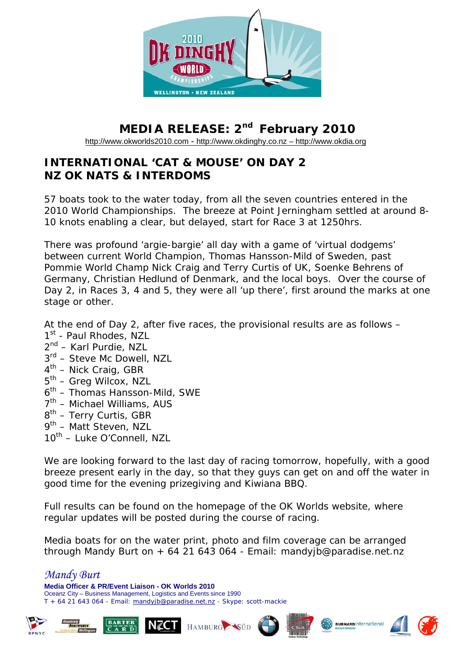

## **MEDIA RELEASE: 2nd February 2010**

[http://www.okworlds2010.com](http://www.okworlds2010.com/) - [http://www.okdinghy.co.nz](http://www.okdinghy.co.nz/) – http://www.okdia.org

## **INTERNATIONAL 'CAT & MOUSE' ON DAY 2 NZ OK NATS & INTERDOMS**

57 boats took to the water today, from all the seven countries entered in the 2010 World Championships. The breeze at Point Jerningham settled at around 8- 10 knots enabling a clear, but delayed, start for Race 3 at 1250hrs.

There was profound 'argie-bargie' all day with a game of 'virtual dodgems' between current World Champion, Thomas Hansson-Mild of Sweden, past Pommie World Champ Nick Craig and Terry Curtis of UK, Soenke Behrens of Germany, Christian Hedlund of Denmark, and the local boys. Over the course of Day 2, in Races 3, 4 and 5, they were all 'up there', first around the marks at one stage or other.

At the end of Day 2, after five races, the provisional results are as follows –

- 1<sup>st</sup> Paul Rhodes, NZL
- 2<sup>nd</sup> Karl Purdie, NZL
- $3<sup>rd</sup>$  Steve Mc Dowell, NZL
- $4<sup>th</sup>$  Nick Craig, GBR
- $5<sup>th</sup>$  Greg Wilcox, NZL
- $6<sup>th</sup>$  Thomas Hansson-Mild, SWE
- 7<sup>th</sup> Michael Williams, AUS
- $8^{th}$  Terry Curtis, GBR
- 9<sup>th</sup> Matt Steven, NZL
- 10<sup>th</sup> Luke O'Connell, NZL

We are looking forward to the last day of racing tomorrow, hopefully, with a good breeze present early in the day, so that they guys can get on and off the water in good time for the evening prizegiving and Kiwiana BBQ.

Full results can be found on the homepage of the OK Worlds website, where regular updates will be posted during the course of racing.

Media boats for on the water print, photo and film coverage can be arranged through Mandy Burt on + 64 21 643 064 - Email: mandyjb@paradise.net.nz